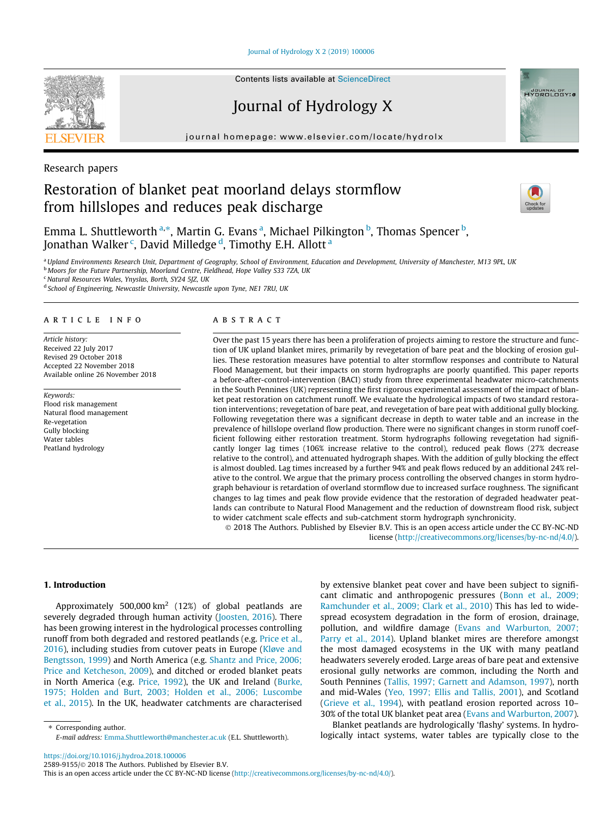[Journal of Hydrology X 2 \(2019\) 100006](https://doi.org/10.1016/j.hydroa.2018.100006)



Contents lists available at [ScienceDirect](http://www.sciencedirect.com/science/journal/25899155)

## Journal of Hydrology X

journal homepage: [www.elsevier.com/locate/hydrolx](http://www.elsevier.com/locate/hydrolx)



# Restoration of blanket peat moorland delays stormflow from hillslopes and reduces peak discharge



JOURNAL OF<br>HYDROLOGY: 0



Emma L. Shuttleworth <sup>a,\*</sup>, Martin G. Evans <sup>a</sup>, Michael Pilkington <sup>b</sup>, Thomas Spencer <sup>b</sup>, Jonathan Walker <sup>c</sup>, David Milledge <sup>d</sup>, Timothy E.H. Allott <sup>a</sup>

a Upland Environments Research Unit, Department of Geography, School of Environment, Education and Development, University of Manchester, M13 9PL, UK **b Moors for the Future Partnership, Moorland Centre, Fieldhead, Hope Valley S33 7ZA, UK** 

<sup>c</sup> Natural Resources Wales, Ynyslas, Borth, SY24 5JZ, UK

<sup>d</sup> School of Engineering, Newcastle University, Newcastle upon Tyne, NE1 7RU, UK

## article info

Article history: Received 22 July 2017 Revised 29 October 2018 Accepted 22 November 2018 Available online 26 November 2018

Keywords: Flood risk management Natural flood management Re-vegetation Gully blocking Water tables Peatland hydrology

## ABSTRACT

Over the past 15 years there has been a proliferation of projects aiming to restore the structure and function of UK upland blanket mires, primarily by revegetation of bare peat and the blocking of erosion gullies. These restoration measures have potential to alter stormflow responses and contribute to Natural Flood Management, but their impacts on storm hydrographs are poorly quantified. This paper reports a before-after-control-intervention (BACI) study from three experimental headwater micro-catchments in the South Pennines (UK) representing the first rigorous experimental assessment of the impact of blanket peat restoration on catchment runoff. We evaluate the hydrological impacts of two standard restoration interventions; revegetation of bare peat, and revegetation of bare peat with additional gully blocking. Following revegetation there was a significant decrease in depth to water table and an increase in the prevalence of hillslope overland flow production. There were no significant changes in storm runoff coefficient following either restoration treatment. Storm hydrographs following revegetation had significantly longer lag times (106% increase relative to the control), reduced peak flows (27% decrease relative to the control), and attenuated hydrograph shapes. With the addition of gully blocking the effect is almost doubled. Lag times increased by a further 94% and peak flows reduced by an additional 24% relative to the control. We argue that the primary process controlling the observed changes in storm hydrograph behaviour is retardation of overland stormflow due to increased surface roughness. The significant changes to lag times and peak flow provide evidence that the restoration of degraded headwater peatlands can contribute to Natural Flood Management and the reduction of downstream flood risk, subject to wider catchment scale effects and sub-catchment storm hydrograph synchronicity.

 2018 The Authors. Published by Elsevier B.V. This is an open access article under the CC BY-NC-ND license (<http://creativecommons.org/licenses/by-nc-nd/4.0/>).

## 1. Introduction

Approximately 500,000 km<sup>2</sup> (12%) of global peatlands are severely degraded through human activity [\(Joosten, 2016](#page-13-0)). There has been growing interest in the hydrological processes controlling runoff from both degraded and restored peatlands (e.g. [Price et al.,](#page-13-0) [2016\)](#page-13-0), including studies from cutover peats in Europe ([Kl](#page-13-0)ø[ve and](#page-13-0) [Bengtsson, 1999\)](#page-13-0) and North America (e.g. [Shantz and Price, 2006;](#page-13-0) [Price and Ketcheson, 2009\)](#page-13-0), and ditched or eroded blanket peats in North America (e.g. [Price, 1992\)](#page-13-0), the UK and Ireland ([Burke,](#page-12-0) [1975; Holden and Burt, 2003; Holden et al., 2006; Luscombe](#page-12-0) [et al., 2015](#page-12-0)). In the UK, headwater catchments are characterised

⇑ Corresponding author. E-mail address: [Emma.Shuttleworth@manchester.ac.uk](mailto:Emma.Shuttleworth@manchester.ac.uk) (E.L. Shuttleworth).

Blanket peatlands are hydrologically 'flashy' systems. In hydrologically intact systems, water tables are typically close to the

<https://doi.org/10.1016/j.hydroa.2018.100006>

2589-9155/© 2018 The Authors. Published by Elsevier B.V.

This is an open access article under the CC BY-NC-ND license ([http://creativecommons.org/licenses/by-nc-nd/4.0/\)](http://creativecommons.org/licenses/by-nc-nd/4.0/).

by extensive blanket peat cover and have been subject to significant climatic and anthropogenic pressures [\(Bonn et al., 2009;](#page-12-0) [Ramchunder et al., 2009; Clark et al., 2010\)](#page-12-0) This has led to widespread ecosystem degradation in the form of erosion, drainage, pollution, and wildfire damage [\(Evans and Warburton, 2007;](#page-12-0) [Parry et al., 2014\)](#page-12-0). Upland blanket mires are therefore amongst the most damaged ecosystems in the UK with many peatland headwaters severely eroded. Large areas of bare peat and extensive erosional gully networks are common, including the North and South Pennines [\(Tallis, 1997; Garnett and Adamson, 1997\)](#page-13-0), north and mid-Wales [\(Yeo, 1997; Ellis and Tallis, 2001\)](#page-13-0), and Scotland ([Grieve et al., 1994](#page-12-0)), with peatland erosion reported across 10– 30% of the total UK blanket peat area [\(Evans and Warburton, 2007\)](#page-12-0).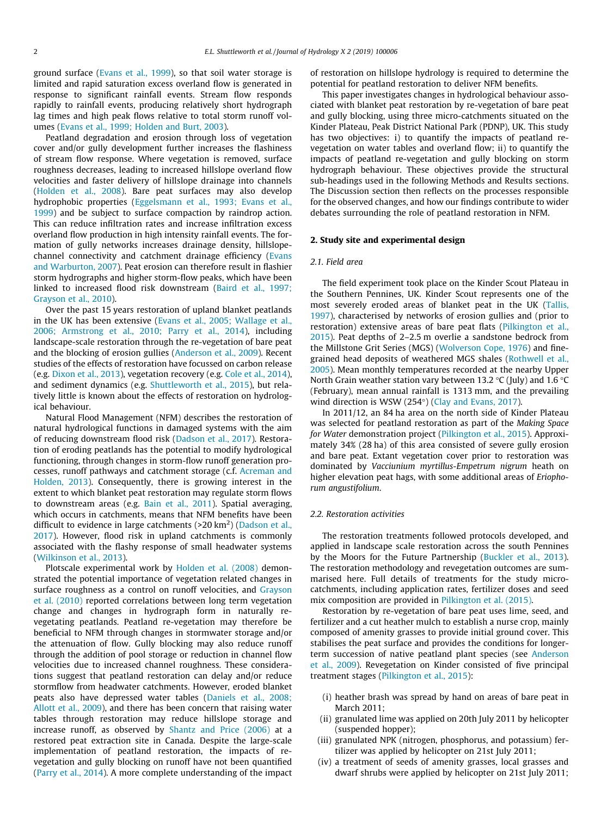ground surface ([Evans et al., 1999\)](#page-12-0), so that soil water storage is limited and rapid saturation excess overland flow is generated in response to significant rainfall events. Stream flow responds rapidly to rainfall events, producing relatively short hydrograph lag times and high peak flows relative to total storm runoff volumes ([Evans et al., 1999; Holden and Burt, 2003](#page-12-0)).

Peatland degradation and erosion through loss of vegetation cover and/or gully development further increases the flashiness of stream flow response. Where vegetation is removed, surface roughness decreases, leading to increased hillslope overland flow velocities and faster delivery of hillslope drainage into channels ([Holden et al., 2008\)](#page-12-0). Bare peat surfaces may also develop hydrophobic properties [\(Eggelsmann et al., 1993; Evans et al.,](#page-12-0) [1999\)](#page-12-0) and be subject to surface compaction by raindrop action. This can reduce infiltration rates and increase infiltration excess overland flow production in high intensity rainfall events. The formation of gully networks increases drainage density, hillslopechannel connectivity and catchment drainage efficiency ([Evans](#page-12-0) [and Warburton, 2007\)](#page-12-0). Peat erosion can therefore result in flashier storm hydrographs and higher storm-flow peaks, which have been linked to increased flood risk downstream ([Baird et al., 1997;](#page-12-0) [Grayson et al., 2010](#page-12-0)).

Over the past 15 years restoration of upland blanket peatlands in the UK has been extensive ([Evans et al., 2005; Wallage et al.,](#page-12-0) [2006; Armstrong et al., 2010; Parry et al., 2014\)](#page-12-0), including landscape-scale restoration through the re-vegetation of bare peat and the blocking of erosion gullies [\(Anderson et al., 2009\)](#page-12-0). Recent studies of the effects of restoration have focussed on carbon release (e.g. [Dixon et al., 2013\)](#page-12-0), vegetation recovery (e.g. [Cole et al., 2014\)](#page-12-0), and sediment dynamics (e.g. [Shuttleworth et al., 2015](#page-13-0)), but relatively little is known about the effects of restoration on hydrological behaviour.

Natural Flood Management (NFM) describes the restoration of natural hydrological functions in damaged systems with the aim of reducing downstream flood risk ([Dadson et al., 2017\)](#page-12-0). Restoration of eroding peatlands has the potential to modify hydrological functioning, through changes in storm-flow runoff generation processes, runoff pathways and catchment storage (c.f. [Acreman and](#page-12-0) [Holden, 2013\)](#page-12-0). Consequently, there is growing interest in the extent to which blanket peat restoration may regulate storm flows to downstream areas (e.g. [Bain et al., 2011](#page-12-0)). Spatial averaging, which occurs in catchments, means that NFM benefits have been difficult to evidence in large catchments (>20 km<sup>2</sup>) [\(Dadson et al.,](#page-12-0) [2017\)](#page-12-0). However, flood risk in upland catchments is commonly associated with the flashy response of small headwater systems ([Wilkinson et al., 2013](#page-13-0)).

Plotscale experimental work by [Holden et al. \(2008\)](#page-12-0) demonstrated the potential importance of vegetation related changes in surface roughness as a control on runoff velocities, and [Grayson](#page-12-0) [et al. \(2010\)](#page-12-0) reported correlations between long term vegetation change and changes in hydrograph form in naturally revegetating peatlands. Peatland re-vegetation may therefore be beneficial to NFM through changes in stormwater storage and/or the attenuation of flow. Gully blocking may also reduce runoff through the addition of pool storage or reduction in channel flow velocities due to increased channel roughness. These considerations suggest that peatland restoration can delay and/or reduce stormflow from headwater catchments. However, eroded blanket peats also have depressed water tables [\(Daniels et al., 2008;](#page-12-0) [Allott et al., 2009\)](#page-12-0), and there has been concern that raising water tables through restoration may reduce hillslope storage and increase runoff, as observed by [Shantz and Price \(2006\)](#page-13-0) at a restored peat extraction site in Canada. Despite the large-scale implementation of peatland restoration, the impacts of revegetation and gully blocking on runoff have not been quantified ([Parry et al., 2014](#page-13-0)). A more complete understanding of the impact of restoration on hillslope hydrology is required to determine the potential for peatland restoration to deliver NFM benefits.

This paper investigates changes in hydrological behaviour associated with blanket peat restoration by re-vegetation of bare peat and gully blocking, using three micro-catchments situated on the Kinder Plateau, Peak District National Park (PDNP), UK. This study has two objectives: i) to quantify the impacts of peatland revegetation on water tables and overland flow; ii) to quantify the impacts of peatland re-vegetation and gully blocking on storm hydrograph behaviour. These objectives provide the structural sub-headings used in the following Methods and Results sections. The Discussion section then reflects on the processes responsible for the observed changes, and how our findings contribute to wider debates surrounding the role of peatland restoration in NFM.

#### 2. Study site and experimental design

#### 2.1. Field area

The field experiment took place on the Kinder Scout Plateau in the Southern Pennines, UK. Kinder Scout represents one of the most severely eroded areas of blanket peat in the UK ([Tallis,](#page-13-0) [1997\)](#page-13-0), characterised by networks of erosion gullies and (prior to restoration) extensive areas of bare peat flats ([Pilkington et al.,](#page-13-0) [2015\)](#page-13-0). Peat depths of 2–2.5 m overlie a sandstone bedrock from the Millstone Grit Series (MGS) ([Wolverson Cope, 1976\)](#page-13-0) and finegrained head deposits of weathered MGS shales [\(Rothwell et al.,](#page-13-0) [2005\)](#page-13-0). Mean monthly temperatures recorded at the nearby Upper North Grain weather station vary between 13.2 °C (July) and 1.6 °C (February), mean annual rainfall is 1313 mm, and the prevailing wind direction is WSW  $(254^{\circ})$  [\(Clay and Evans, 2017\)](#page-12-0).

In 2011/12, an 84 ha area on the north side of Kinder Plateau was selected for peatland restoration as part of the Making Space for Water demonstration project [\(Pilkington et al., 2015](#page-13-0)). Approximately 34% (28 ha) of this area consisted of severe gully erosion and bare peat. Extant vegetation cover prior to restoration was dominated by Vacciunium myrtillus-Empetrum nigrum heath on higher elevation peat hags, with some additional areas of Eriophorum angustifolium.

## 2.2. Restoration activities

The restoration treatments followed protocols developed, and applied in landscape scale restoration across the south Pennines by the Moors for the Future Partnership [\(Buckler et al., 2013\)](#page-12-0). The restoration methodology and revegetation outcomes are summarised here. Full details of treatments for the study microcatchments, including application rates, fertilizer doses and seed mix composition are provided in [Pilkington et al. \(2015\)](#page-13-0).

Restoration by re-vegetation of bare peat uses lime, seed, and fertilizer and a cut heather mulch to establish a nurse crop, mainly composed of amenity grasses to provide initial ground cover. This stabilises the peat surface and provides the conditions for longerterm succession of native peatland plant species (see [Anderson](#page-12-0) [et al., 2009](#page-12-0)). Revegetation on Kinder consisted of five principal treatment stages [\(Pilkington et al., 2015](#page-13-0)):

- (i) heather brash was spread by hand on areas of bare peat in March 2011;
- (ii) granulated lime was applied on 20th July 2011 by helicopter (suspended hopper);
- (iii) granulated NPK (nitrogen, phosphorus, and potassium) fertilizer was applied by helicopter on 21st July 2011;
- (iv) a treatment of seeds of amenity grasses, local grasses and dwarf shrubs were applied by helicopter on 21st July 2011;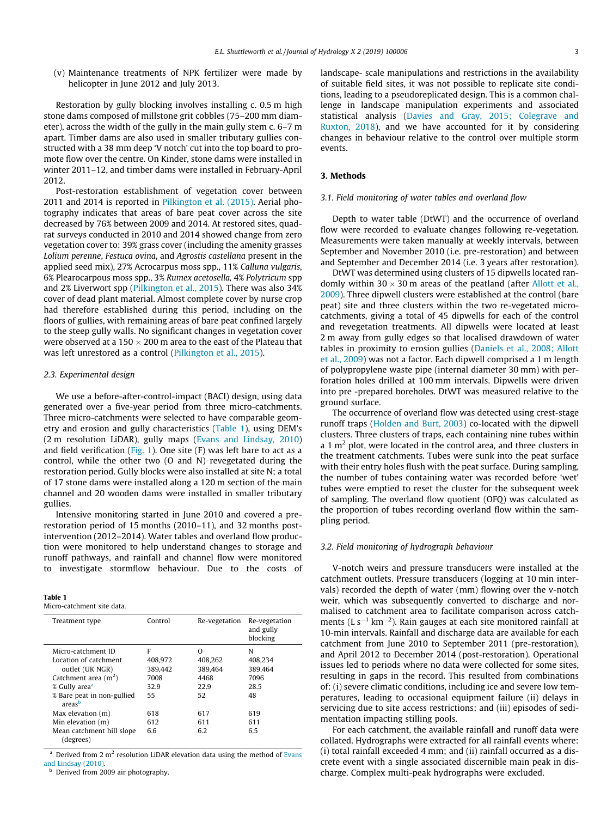<span id="page-2-0"></span>(v) Maintenance treatments of NPK fertilizer were made by helicopter in June 2012 and July 2013.

Restoration by gully blocking involves installing c. 0.5 m high stone dams composed of millstone grit cobbles (75–200 mm diameter), across the width of the gully in the main gully stem c. 6–7 m apart. Timber dams are also used in smaller tributary gullies constructed with a 38 mm deep 'V notch' cut into the top board to promote flow over the centre. On Kinder, stone dams were installed in winter 2011–12, and timber dams were installed in February-April 2012.

Post-restoration establishment of vegetation cover between 2011 and 2014 is reported in [Pilkington et al. \(2015\)](#page-13-0). Aerial photography indicates that areas of bare peat cover across the site decreased by 76% between 2009 and 2014. At restored sites, quadrat surveys conducted in 2010 and 2014 showed change from zero vegetation cover to: 39% grass cover (including the amenity grasses Lolium perenne, Festuca ovina, and Agrostis castellana present in the applied seed mix), 27% Acrocarpus moss spp., 11% Calluna vulgaris, 6% Plearocarpous moss spp., 3% Rumex acetosella, 4% Polytricum spp and 2% Liverwort spp ([Pilkington et al., 2015\)](#page-13-0). There was also 34% cover of dead plant material. Almost complete cover by nurse crop had therefore established during this period, including on the floors of gullies, with remaining areas of bare peat confined largely to the steep gully walls. No significant changes in vegetation cover were observed at a 150  $\times$  200 m area to the east of the Plateau that was left unrestored as a control [\(Pilkington et al., 2015](#page-13-0)).

## 2.3. Experimental design

We use a before-after-control-impact (BACI) design, using data generated over a five-year period from three micro-catchments. Three micro-catchments were selected to have comparable geometry and erosion and gully characteristics (Table 1), using DEM's (2 m resolution LiDAR), gully maps [\(Evans and Lindsay, 2010\)](#page-12-0) and field verification [\(Fig. 1\)](#page-3-0). One site (F) was left bare to act as a control, while the other two (O and N) revegetated during the restoration period. Gully blocks were also installed at site N; a total of 17 stone dams were installed along a 120 m section of the main channel and 20 wooden dams were installed in smaller tributary gullies.

Intensive monitoring started in June 2010 and covered a prerestoration period of 15 months (2010–11), and 32 months postintervention (2012–2014). Water tables and overland flow production were monitored to help understand changes to storage and runoff pathways, and rainfall and channel flow were monitored to investigate stormflow behaviour. Due to the costs of

#### Table 1

Micro-catchment site data.

| Treatment type                                   | Control | Re-vegetation | Re-vegetation<br>and gully<br>blocking |
|--------------------------------------------------|---------|---------------|----------------------------------------|
| Micro-catchment ID                               | F       | O             | N                                      |
| Location of catchment                            | 408.972 | 408.262       | 408.234                                |
| outlet (UK NGR)                                  | 389.442 | 389.464       | 389.464                                |
| Catchment area $(m2)$                            | 7008    | 4468          | 7096                                   |
| % Gully area <sup>a</sup>                        | 32.9    | 22.9          | 28.5                                   |
| % Bare peat in non-gullied<br>areas <sup>b</sup> | 55      | 52            | 48                                     |
| Max elevation (m)                                | 618     | 617           | 619                                    |
| Min elevation $(m)$                              | 612     | 611           | 611                                    |
| Mean catchment hill slope<br>(degrees)           | 6.6     | 6.2           | 6.5                                    |

<sup>a</sup> Derived from 2 m<sup>2</sup> resolution LiDAR elevation data using the method of [Evans](#page-12-0) [and Lindsay \(2010\)](#page-12-0).

**b** Derived from 2009 air photography.

landscape- scale manipulations and restrictions in the availability of suitable field sites, it was not possible to replicate site conditions, leading to a pseudoreplicated design. This is a common challenge in landscape manipulation experiments and associated statistical analysis [\(Davies and Gray, 2015; Colegrave and](#page-12-0) [Ruxton, 2018\)](#page-12-0), and we have accounted for it by considering changes in behaviour relative to the control over multiple storm events.

#### 3. Methods

## 3.1. Field monitoring of water tables and overland flow

Depth to water table (DtWT) and the occurrence of overland flow were recorded to evaluate changes following re-vegetation. Measurements were taken manually at weekly intervals, between September and November 2010 (i.e. pre-restoration) and between and September and December 2014 (i.e. 3 years after restoration).

DtWT was determined using clusters of 15 dipwells located randomly within 30  $\times$  30 m areas of the peatland (after [Allott et al.,](#page-12-0) [2009](#page-12-0)). Three dipwell clusters were established at the control (bare peat) site and three clusters within the two re-vegetated microcatchments, giving a total of 45 dipwells for each of the control and revegetation treatments. All dipwells were located at least 2 m away from gully edges so that localised drawdown of water tables in proximity to erosion gullies [\(Daniels et al., 2008; Allott](#page-12-0) [et al., 2009\)](#page-12-0) was not a factor. Each dipwell comprised a 1 m length of polypropylene waste pipe (internal diameter 30 mm) with perforation holes drilled at 100 mm intervals. Dipwells were driven into pre -prepared boreholes. DtWT was measured relative to the ground surface.

The occurrence of overland flow was detected using crest-stage runoff traps ([Holden and Burt, 2003](#page-12-0)) co-located with the dipwell clusters. Three clusters of traps, each containing nine tubes within a 1  $m<sup>2</sup>$  plot, were located in the control area, and three clusters in the treatment catchments. Tubes were sunk into the peat surface with their entry holes flush with the peat surface. During sampling, the number of tubes containing water was recorded before 'wet' tubes were emptied to reset the cluster for the subsequent week of sampling. The overland flow quotient (OFQ) was calculated as the proportion of tubes recording overland flow within the sampling period.

## 3.2. Field monitoring of hydrograph behaviour

V-notch weirs and pressure transducers were installed at the catchment outlets. Pressure transducers (logging at 10 min intervals) recorded the depth of water (mm) flowing over the v-notch weir, which was subsequently converted to discharge and normalised to catchment area to facilitate comparison across catchments (L s<sup>-1</sup> km<sup>-2</sup>). Rain gauges at each site monitored rainfall at 10-min intervals. Rainfall and discharge data are available for each catchment from June 2010 to September 2011 (pre-restoration), and April 2012 to December 2014 (post-restoration). Operational issues led to periods where no data were collected for some sites, resulting in gaps in the record. This resulted from combinations of: (i) severe climatic conditions, including ice and severe low temperatures, leading to occasional equipment failure (ii) delays in servicing due to site access restrictions; and (iii) episodes of sedimentation impacting stilling pools.

For each catchment, the available rainfall and runoff data were collated. Hydrographs were extracted for all rainfall events where: (i) total rainfall exceeded 4 mm; and (ii) rainfall occurred as a discrete event with a single associated discernible main peak in discharge. Complex multi-peak hydrographs were excluded.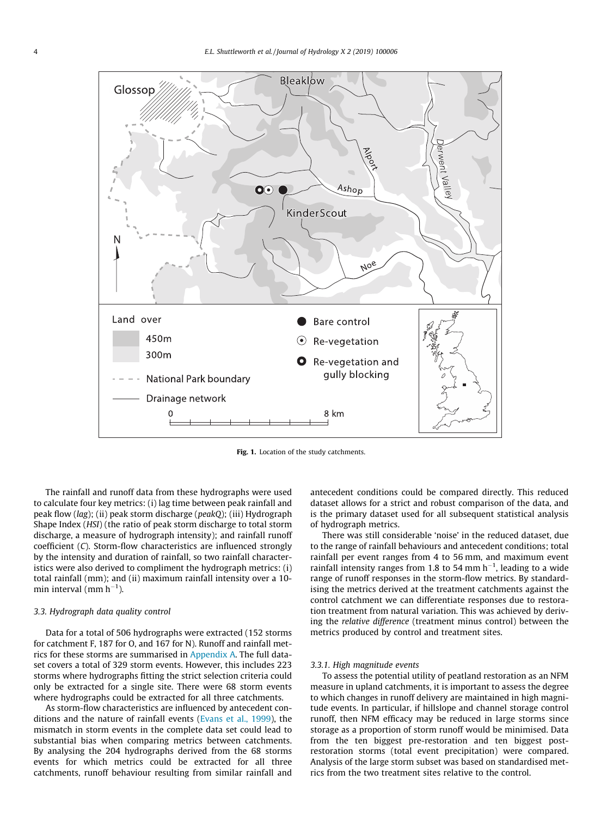<span id="page-3-0"></span>

Fig. 1. Location of the study catchments.

The rainfall and runoff data from these hydrographs were used to calculate four key metrics: (i) lag time between peak rainfall and peak flow (lag); (ii) peak storm discharge (peakQ); (iii) Hydrograph Shape Index (HSI) (the ratio of peak storm discharge to total storm discharge, a measure of hydrograph intensity); and rainfall runoff coefficient (C). Storm-flow characteristics are influenced strongly by the intensity and duration of rainfall, so two rainfall characteristics were also derived to compliment the hydrograph metrics: (i) total rainfall (mm); and (ii) maximum rainfall intensity over a 10 min interval (mm h $^{-1}$ ).

## 3.3. Hydrograph data quality control

Data for a total of 506 hydrographs were extracted (152 storms for catchment F, 187 for O, and 167 for N). Runoff and rainfall metrics for these storms are summarised in [Appendix A.](#page-11-0) The full dataset covers a total of 329 storm events. However, this includes 223 storms where hydrographs fitting the strict selection criteria could only be extracted for a single site. There were 68 storm events where hydrographs could be extracted for all three catchments.

As storm-flow characteristics are influenced by antecedent conditions and the nature of rainfall events ([Evans et al., 1999](#page-12-0)), the mismatch in storm events in the complete data set could lead to substantial bias when comparing metrics between catchments. By analysing the 204 hydrographs derived from the 68 storms events for which metrics could be extracted for all three catchments, runoff behaviour resulting from similar rainfall and

antecedent conditions could be compared directly. This reduced dataset allows for a strict and robust comparison of the data, and is the primary dataset used for all subsequent statistical analysis of hydrograph metrics.

There was still considerable 'noise' in the reduced dataset, due to the range of rainfall behaviours and antecedent conditions; total rainfall per event ranges from 4 to 56 mm, and maximum event rainfall intensity ranges from 1.8 to 54 mm  $h^{-1}$ , leading to a wide range of runoff responses in the storm-flow metrics. By standardising the metrics derived at the treatment catchments against the control catchment we can differentiate responses due to restoration treatment from natural variation. This was achieved by deriving the relative difference (treatment minus control) between the metrics produced by control and treatment sites.

## 3.3.1. High magnitude events

To assess the potential utility of peatland restoration as an NFM measure in upland catchments, it is important to assess the degree to which changes in runoff delivery are maintained in high magnitude events. In particular, if hillslope and channel storage control runoff, then NFM efficacy may be reduced in large storms since storage as a proportion of storm runoff would be minimised. Data from the ten biggest pre-restoration and ten biggest postrestoration storms (total event precipitation) were compared. Analysis of the large storm subset was based on standardised metrics from the two treatment sites relative to the control.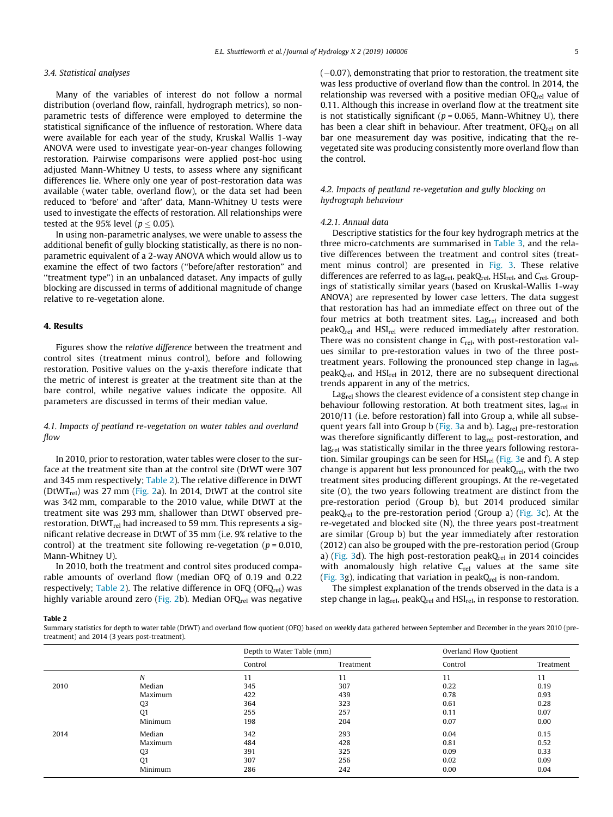#### <span id="page-4-0"></span>3.4. Statistical analyses

Many of the variables of interest do not follow a normal distribution (overland flow, rainfall, hydrograph metrics), so nonparametric tests of difference were employed to determine the statistical significance of the influence of restoration. Where data were available for each year of the study, Kruskal Wallis 1-way ANOVA were used to investigate year-on-year changes following restoration. Pairwise comparisons were applied post-hoc using adjusted Mann-Whitney U tests, to assess where any significant differences lie. Where only one year of post-restoration data was available (water table, overland flow), or the data set had been reduced to 'before' and 'after' data, Mann-Whitney U tests were used to investigate the effects of restoration. All relationships were tested at the 95% level ( $p < 0.05$ ).

In using non-parametric analyses, we were unable to assess the additional benefit of gully blocking statistically, as there is no nonparametric equivalent of a 2-way ANOVA which would allow us to examine the effect of two factors (''before/after restoration" and ''treatment type") in an unbalanced dataset. Any impacts of gully blocking are discussed in terms of additional magnitude of change relative to re-vegetation alone.

## 4. Results

Figures show the relative difference between the treatment and control sites (treatment minus control), before and following restoration. Positive values on the y-axis therefore indicate that the metric of interest is greater at the treatment site than at the bare control, while negative values indicate the opposite. All parameters are discussed in terms of their median value.

## 4.1. Impacts of peatland re-vegetation on water tables and overland flow

In 2010, prior to restoration, water tables were closer to the surface at the treatment site than at the control site (DtWT were 307 and 345 mm respectively; Table 2). The relative difference in DtWT (DtWT<sub>rel</sub>) was 27 mm ([Fig. 2a](#page-5-0)). In 2014, DtWT at the control site was 342 mm, comparable to the 2010 value, while DtWT at the treatment site was 293 mm, shallower than DtWT observed prerestoration. DtWT<sub>rel</sub> had increased to 59 mm. This represents a significant relative decrease in DtWT of 35 mm (i.e. 9% relative to the control) at the treatment site following re-vegetation ( $p = 0.010$ , Mann-Whitney U).

In 2010, both the treatment and control sites produced comparable amounts of overland flow (median OFQ of 0.19 and 0.22 respectively; Table 2). The relative difference in OFQ (OF $Q_{rel}$ ) was highly variable around zero ([Fig. 2](#page-5-0)b). Median OF $Q_{rel}$  was negative  $(-0.07)$ , demonstrating that prior to restoration, the treatment site was less productive of overland flow than the control. In 2014, the relationship was reversed with a positive median  $\rm{OPQ}_{rel}$  value of 0.11. Although this increase in overland flow at the treatment site is not statistically significant ( $p = 0.065$ , Mann-Whitney U), there has been a clear shift in behaviour. After treatment, OFQ<sub>rel</sub> on all bar one measurement day was positive, indicating that the revegetated site was producing consistently more overland flow than the control.

## 4.2. Impacts of peatland re-vegetation and gully blocking on hydrograph behaviour

#### 4.2.1. Annual data

Descriptive statistics for the four key hydrograph metrics at the three micro-catchments are summarised in [Table 3](#page-5-0), and the relative differences between the treatment and control sites (treatment minus control) are presented in [Fig. 3](#page-6-0). These relative differences are referred to as lag<sub>rel</sub>, peakQ<sub>rel</sub>, HSI<sub>rel</sub>, and C<sub>rel</sub>. Groupings of statistically similar years (based on Kruskal-Wallis 1-way ANOVA) are represented by lower case letters. The data suggest that restoration has had an immediate effect on three out of the four metrics at both treatment sites. Lag<sub>rel</sub> increased and both peakQ<sub>rel</sub> and HSI<sub>rel</sub> were reduced immediately after restoration. There was no consistent change in  $C_{rel}$ , with post-restoration values similar to pre-restoration values in two of the three posttreatment years. Following the pronounced step change in  $lag_{rel}$ , peak $Q_{rel}$ , and HSI $_{rel}$  in 2012, there are no subsequent directional trends apparent in any of the metrics.

Lag<sub>rel</sub> shows the clearest evidence of a consistent step change in behaviour following restoration. At both treatment sites,  $lag_{rel}$  in 2010/11 (i.e. before restoration) fall into Group a, while all subsequent years fall into Group  $b$  ([Fig. 3](#page-6-0)a and b). Lag<sub>rel</sub> pre-restoration was therefore significantly different to  $lag_{rel}$  post-restoration, and  $lag<sub>rel</sub>$  was statistically similar in the three years following restoration. Similar groupings can be seen for  $HSI_{rel}$  ([Fig. 3e](#page-6-0) and f). A step change is apparent but less pronounced for  $peakQ_{rel}$ , with the two treatment sites producing different groupings. At the re-vegetated site (O), the two years following treatment are distinct from the pre-restoration period (Group b), but 2014 produced similar peak $Q_{rel}$  to the pre-restoration period (Group a) ([Fig. 3](#page-6-0)c). At the re-vegetated and blocked site (N), the three years post-treatment are similar (Group b) but the year immediately after restoration (2012) can also be grouped with the pre-restoration period (Group a) [\(Fig. 3](#page-6-0)d). The high post-restoration peak $Q_{rel}$  in 2014 coincides with anomalously high relative  $C_{rel}$  values at the same site ([Fig. 3g](#page-6-0)), indicating that variation in peak $Q_{rel}$  is non-random.

The simplest explanation of the trends observed in the data is a step change in lag<sub>rel</sub>, peak $Q_{rel}$  and  $HSI_{rel}$ , in response to restoration.

#### Table 2

Summary statistics for depth to water table (DtWT) and overland flow quotient (OFQ) based on weekly data gathered between September and December in the years 2010 (pretreatment) and 2014 (3 years post-treatment).

|      |                | Depth to Water Table (mm) |           | Overland Flow Quotient |           |
|------|----------------|---------------------------|-----------|------------------------|-----------|
|      |                | Control                   | Treatment | Control                | Treatment |
|      | Ν              | 11                        | 11        | 11                     | 11        |
| 2010 | Median         | 345                       | 307       | 0.22                   | 0.19      |
|      | Maximum        | 422                       | 439       | 0.78                   | 0.93      |
|      | Q <sub>3</sub> | 364                       | 323       | 0.61                   | 0.28      |
|      | Q <sub>1</sub> | 255                       | 257       | 0.11                   | 0.07      |
|      | Minimum        | 198                       | 204       | 0.07                   | 0.00      |
| 2014 | Median         | 342                       | 293       | 0.04                   | 0.15      |
|      | Maximum        | 484                       | 428       | 0.81                   | 0.52      |
|      | Q3             | 391                       | 325       | 0.09                   | 0.33      |
|      | Q <sub>1</sub> | 307                       | 256       | 0.02                   | 0.09      |
|      | Minimum        | 286                       | 242       | 0.00                   | 0.04      |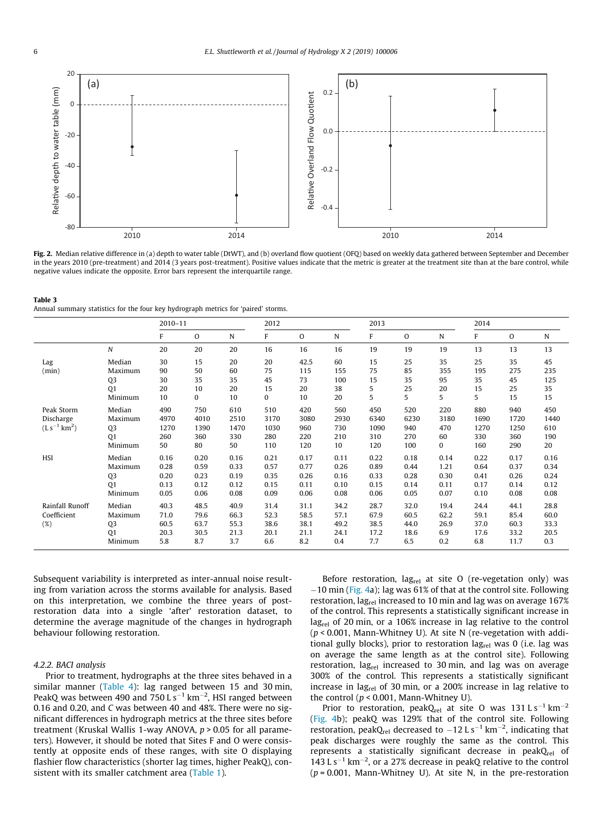<span id="page-5-0"></span>

Fig. 2. Median relative difference in (a) depth to water table (DtWT), and (b) overland flow quotient (OFQ) based on weekly data gathered between September and December in the years 2010 (pre-treatment) and 2014 (3 years post-treatment). Positive values indicate that the metric is greater at the treatment site than at the bare control, while negative values indicate the opposite. Error bars represent the interquartile range.

Table 3 Annual summary statistics for the four key hydrograph metrics for 'paired' storms.

|                                              |                                                                  | 2010-11                              |                                      |                                      | 2012                                 |                                      | 2013                                 |                                      |                                      | 2014                                 |                                      |                                      |                                      |
|----------------------------------------------|------------------------------------------------------------------|--------------------------------------|--------------------------------------|--------------------------------------|--------------------------------------|--------------------------------------|--------------------------------------|--------------------------------------|--------------------------------------|--------------------------------------|--------------------------------------|--------------------------------------|--------------------------------------|
|                                              |                                                                  | F                                    | $\mathbf{O}$                         | N                                    | F                                    | $\mathbf{O}$                         | N                                    | F                                    | $\mathbf{O}$                         | N                                    | F                                    | $\mathbf{O}$                         | N                                    |
|                                              | N                                                                | 20                                   | 20                                   | 20                                   | 16                                   | 16                                   | 16                                   | 19                                   | 19                                   | 19                                   | 13                                   | 13                                   | 13                                   |
| Lag<br>(min)                                 | Median<br>Maximum<br>Q <sub>3</sub><br>Q <sub>1</sub><br>Minimum | 30<br>90<br>30<br>20<br>10           | 15<br>50<br>35<br>10<br>$\mathbf{0}$ | 20<br>60<br>35<br>20<br>10           | 20<br>75<br>45<br>15<br>0            | 42.5<br>115<br>73<br>20<br>10        | 60<br>155<br>100<br>38<br>20         | 15<br>75<br>15<br>5<br>5             | 25<br>85<br>35<br>25<br>5            | 35<br>355<br>95<br>20<br>5           | 25<br>195<br>35<br>15<br>5           | 35<br>275<br>45<br>25<br>15          | 45<br>235<br>125<br>35<br>15         |
| Peak Storm<br>Discharge<br>$(L s^{-1} km^2)$ | Median<br>Maximum<br>Q <sub>3</sub><br>O <sub>1</sub><br>Minimum | 490<br>4970<br>1270<br>260<br>50     | 750<br>4010<br>1390<br>360<br>80     | 610<br>2510<br>1470<br>330<br>50     | 510<br>3170<br>1030<br>280<br>110    | 420<br>3080<br>960<br>220<br>120     | 560<br>2930<br>730<br>210<br>10      | 450<br>6340<br>1090<br>310<br>120    | 520<br>6230<br>940<br>270<br>100     | 220<br>3180<br>470<br>60<br>$\bf{0}$ | 880<br>1690<br>1270<br>330<br>160    | 940<br>1720<br>1250<br>360<br>290    | 450<br>1440<br>610<br>190<br>20      |
| HSI                                          | Median<br>Maximum<br>Q <sub>3</sub><br>Q <sub>1</sub><br>Minimum | 0.16<br>0.28<br>0.20<br>0.13<br>0.05 | 0.20<br>0.59<br>0.23<br>0.12<br>0.06 | 0.16<br>0.33<br>0.19<br>0.12<br>0.08 | 0.21<br>0.57<br>0.35<br>0.15<br>0.09 | 0.17<br>0.77<br>0.26<br>0.11<br>0.06 | 0.11<br>0.26<br>0.16<br>0.10<br>0.08 | 0.22<br>0.89<br>0.33<br>0.15<br>0.06 | 0.18<br>0.44<br>0.28<br>0.14<br>0.05 | 0.14<br>1.21<br>0.30<br>0.11<br>0.07 | 0.22<br>0.64<br>0.41<br>0.17<br>0.10 | 0.17<br>0.37<br>0.26<br>0.14<br>0.08 | 0.16<br>0.34<br>0.24<br>0.12<br>0.08 |
| Rainfall Runoff<br>Coefficient<br>(%)        | Median<br>Maximum<br>Q <sub>3</sub><br>Q <sub>1</sub><br>Minimum | 40.3<br>71.0<br>60.5<br>20.3<br>5.8  | 48.5<br>79.6<br>63.7<br>30.5<br>8.7  | 40.9<br>66.3<br>55.3<br>21.3<br>3.7  | 31.4<br>52.3<br>38.6<br>20.1<br>6.6  | 31.1<br>58.5<br>38.1<br>21.1<br>8.2  | 34.2<br>57.1<br>49.2<br>24.1<br>0.4  | 28.7<br>67.9<br>38.5<br>17.2<br>7.7  | 32.0<br>60.5<br>44.0<br>18.6<br>6.5  | 19.4<br>62.2<br>26.9<br>6.9<br>0.2   | 24.4<br>59.1<br>37.0<br>17.6<br>6.8  | 44.1<br>85.4<br>60.3<br>33.2<br>11.7 | 28.8<br>60.0<br>33.3<br>20.5<br>0.3  |

Subsequent variability is interpreted as inter-annual noise resulting from variation across the storms available for analysis. Based on this interpretation, we combine the three years of postrestoration data into a single 'after' restoration dataset, to determine the average magnitude of the changes in hydrograph behaviour following restoration.

## 4.2.2. BACI analysis

Prior to treatment, hydrographs at the three sites behaved in a similar manner [\(Table 4\)](#page-7-0): lag ranged between 15 and 30 min, PeakQ was between 490 and 750 L s<sup> $-1$ </sup> km $^{-2}$ , HSI ranged between 0.16 and 0.20, and C was between 40 and 48%. There were no significant differences in hydrograph metrics at the three sites before treatment (Kruskal Wallis 1-way ANOVA,  $p > 0.05$  for all parameters). However, it should be noted that Sites F and O were consistently at opposite ends of these ranges, with site O displaying flashier flow characteristics (shorter lag times, higher PeakQ), consistent with its smaller catchment area [\(Table 1](#page-2-0)).

Before restoration, lagrel at site  $O$  (re-vegetation only) was  $-10$  min ([Fig. 4](#page-7-0)a); lag was 61% of that at the control site. Following restoration, lag<sub>rel</sub> increased to 10 min and lag was on average 167% of the control. This represents a statistically significant increase in lag<sub>rel</sub> of 20 min, or a 106% increase in lag relative to the control  $(p < 0.001$ , Mann-Whitney U). At site N (re-vegetation with additional gully blocks), prior to restoration lagrel was  $0$  (i.e. lag was on average the same length as at the control site). Following restoration, lag<sub>rel</sub> increased to 30 min, and lag was on average 300% of the control. This represents a statistically significant increase in lag<sub>rel</sub> of 30 min, or a 200% increase in lag relative to the control ( $p < 0.001$ , Mann-Whitney U).

Prior to restoration, peakQ<sub>rel</sub> at site O was 131 L s<sup>-1</sup> km<sup>-2</sup> ([Fig. 4](#page-7-0)b); peakQ was 129% that of the control site. Following restoration, peakQ<sub>rel</sub> decreased to  $-12 \text{ L s}^{-1} \text{ km}^{-2}$ , indicating that peak discharges were roughly the same as the control. This represents a statistically significant decrease in peak $Q_{rel}$  of 143 L  $s^{-1}$  km<sup>-2</sup>, or a 27% decrease in peakQ relative to the control  $(p = 0.001,$  Mann-Whitney U). At site N, in the pre-restoration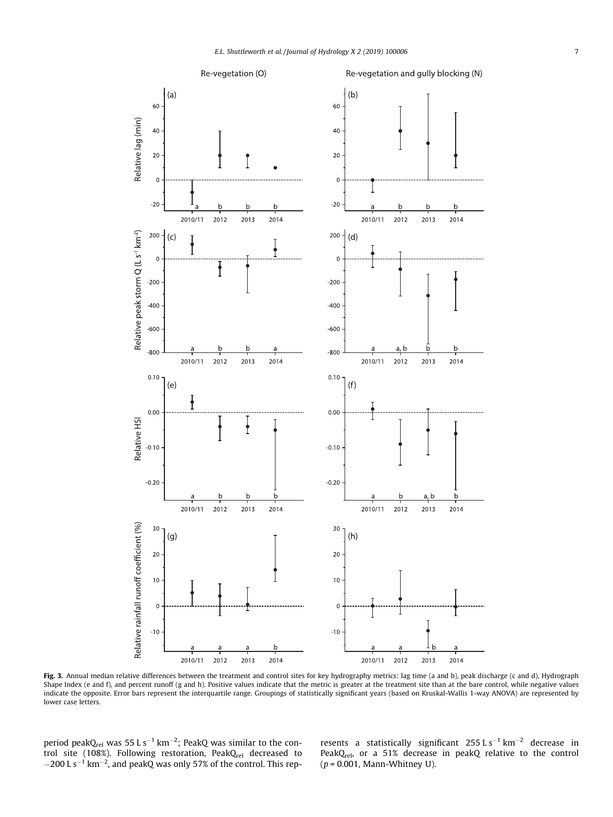<span id="page-6-0"></span>

Fig. 3. Annual median relative differences between the treatment and control sites for key hydrography metrics: lag time (a and b), peak discharge (c and d), Hydrograph Shape Index (e and f), and percent runoff (g and h). Positive values indicate that the metric is greater at the treatment site than at the bare control, while negative values indicate the opposite. Error bars represent the interquartile range. Groupings of statistically significant years (based on Kruskal-Wallis 1-way ANOVA) are represented by lower case letters.

period peakQ<sub>rel</sub> was 55 L s<sup> $-1$ </sup> km<sup> $-2$ </sup>; PeakQ was similar to the control site (108%). Following restoration, PeakQ<sub>rel</sub> decreased to  $-200$  L s<sup>-1</sup> km<sup>-2</sup>, and peakQ was only 57% of the control. This represents a statistically significant  $255 L s^{-1}$  km<sup>-2</sup> decrease in Peak $Q_{rel}$ , or a 51% decrease in peak $Q$  relative to the control  $(p = 0.001,$  Mann-Whitney U).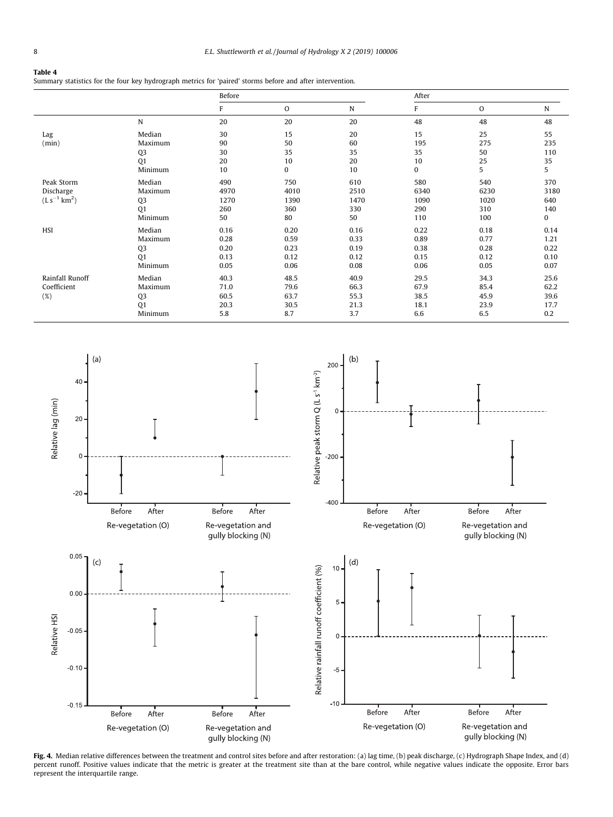#### <span id="page-7-0"></span>Table 4

Summary statistics for the four key hydrograph metrics for 'paired' storms before and after intervention.

|                                              |                                                                  | Before                               |                                      |                                      | After                                |                                      |                                      |  |
|----------------------------------------------|------------------------------------------------------------------|--------------------------------------|--------------------------------------|--------------------------------------|--------------------------------------|--------------------------------------|--------------------------------------|--|
|                                              |                                                                  | $\mathsf F$                          | $\mathbf{O}$                         | N                                    | F                                    | $\mathbf{O}$                         | N                                    |  |
|                                              | N                                                                | 20                                   | 20                                   | 20                                   | 48                                   | 48                                   | 48                                   |  |
| Lag<br>(min)                                 | Median<br>Maximum<br>Q <sub>3</sub><br>Q <sub>1</sub><br>Minimum | 30<br>90<br>30<br>20<br>10           | 15<br>50<br>35<br>10<br>$\bf{0}$     | 20<br>60<br>35<br>20<br>10           | 15<br>195<br>35<br>10<br>$\bf{0}$    | 25<br>275<br>50<br>25<br>5           | 55<br>235<br>110<br>35<br>5          |  |
| Peak Storm<br>Discharge<br>$(L s^{-1} km^2)$ | Median<br>Maximum<br>Q <sub>3</sub><br>Q <sub>1</sub><br>Minimum | 490<br>4970<br>1270<br>260<br>50     | 750<br>4010<br>1390<br>360<br>80     | 610<br>2510<br>1470<br>330<br>50     | 580<br>6340<br>1090<br>290<br>110    | 540<br>6230<br>1020<br>310<br>100    | 370<br>3180<br>640<br>140<br>0       |  |
| HSI                                          | Median<br>Maximum<br>Q <sub>3</sub><br>Q <sub>1</sub><br>Minimum | 0.16<br>0.28<br>0.20<br>0.13<br>0.05 | 0.20<br>0.59<br>0.23<br>0.12<br>0.06 | 0.16<br>0.33<br>0.19<br>0.12<br>0.08 | 0.22<br>0.89<br>0.38<br>0.15<br>0.06 | 0.18<br>0.77<br>0.28<br>0.12<br>0.05 | 0.14<br>1.21<br>0.22<br>0.10<br>0.07 |  |
| Rainfall Runoff<br>Coefficient<br>(%)        | Median<br>Maximum<br>Q <sub>3</sub><br>Q1<br>Minimum             | 40.3<br>71.0<br>60.5<br>20.3<br>5.8  | 48.5<br>79.6<br>63.7<br>30.5<br>8.7  | 40.9<br>66.3<br>55.3<br>21.3<br>3.7  | 29.5<br>67.9<br>38.5<br>18.1<br>6.6  | 34.3<br>85.4<br>45.9<br>23.9<br>6.5  | 25.6<br>62.2<br>39.6<br>17.7<br>0.2  |  |



Fig. 4. Median relative differences between the treatment and control sites before and after restoration: (a) lag time, (b) peak discharge, (c) Hydrograph Shape Index, and (d) percent runoff. Positive values indicate that the metric is greater at the treatment site than at the bare control, while negative values indicate the opposite. Error bars represent the interquartile range.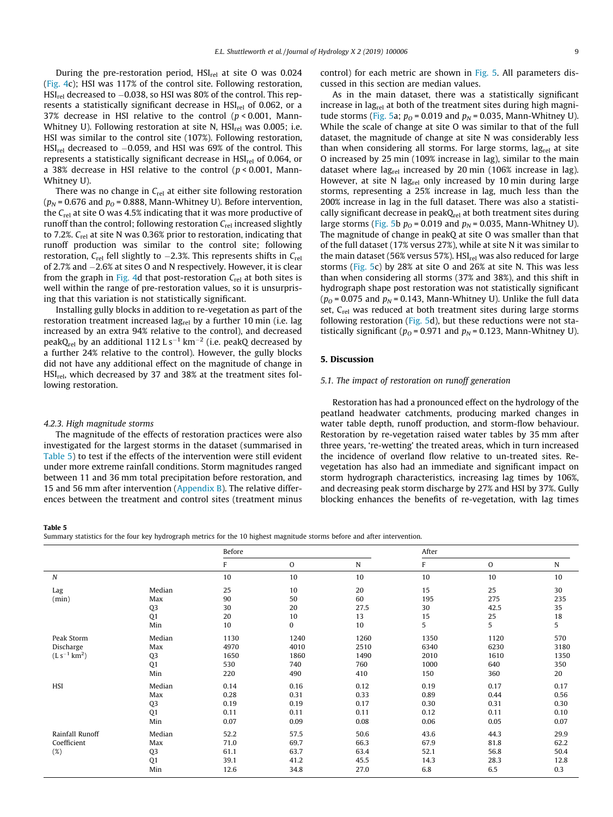During the pre-restoration period, HSI<sub>rel</sub> at site O was 0.024 ([Fig. 4](#page-7-0)c); HSI was 117% of the control site. Following restoration, HSI<sub>rel</sub> decreased to  $-0.038$ , so HSI was 80% of the control. This represents a statistically significant decrease in HSI<sub>rel</sub> of 0.062, or a 37% decrease in HSI relative to the control ( $p < 0.001$ , Mann-Whitney U). Following restoration at site N, HSI<sub>rel</sub> was 0.005; i.e. HSI was similar to the control site (107%). Following restoration, HSI<sub>rel</sub> decreased to  $-0.059$ , and HSI was 69% of the control. This represents a statistically significant decrease in HSI<sub>rel</sub> of 0.064, or a 38% decrease in HSI relative to the control ( $p < 0.001$ , Mann-Whitney U).

There was no change in  $C_{rel}$  at either site following restoration ( $p_N$  = 0.676 and  $p_O$  = 0.888, Mann-Whitney U). Before intervention, the  $C_{rel}$  at site O was 4.5% indicating that it was more productive of runoff than the control; following restoration  $C_{rel}$  increased slightly to 7.2%.  $C_{rel}$  at site N was 0.36% prior to restoration, indicating that runoff production was similar to the control site; following restoration,  $C_{rel}$  fell slightly to  $-2.3%$ . This represents shifts in  $C_{rel}$ of 2.7% and  $-2.6%$  at sites O and N respectively. However, it is clear from the graph in [Fig. 4d](#page-7-0) that post-restoration  $C_{rel}$  at both sites is well within the range of pre-restoration values, so it is unsurprising that this variation is not statistically significant.

Installing gully blocks in addition to re-vegetation as part of the restoration treatment increased lag<sub>rel</sub> by a further 10 min (i.e. lag increased by an extra 94% relative to the control), and decreased peakQ<sub>rel</sub> by an additional 112 L s<sup>-1</sup> km<sup>-2</sup> (i.e. peakQ decreased by a further 24% relative to the control). However, the gully blocks did not have any additional effect on the magnitude of change in HSI<sub>rel</sub>, which decreased by 37 and 38% at the treatment sites following restoration.

## 4.2.3. High magnitude storms

The magnitude of the effects of restoration practices were also investigated for the largest storms in the dataset (summarised in Table 5) to test if the effects of the intervention were still evident under more extreme rainfall conditions. Storm magnitudes ranged between 11 and 36 mm total precipitation before restoration, and 15 and 56 mm after intervention [\(Appendix B\)](#page-12-0). The relative differences between the treatment and control sites (treatment minus control) for each metric are shown in [Fig. 5](#page-9-0). All parameters discussed in this section are median values.

As in the main dataset, there was a statistically significant increase in lag<sub>rel</sub> at both of the treatment sites during high magni-tude storms [\(Fig. 5a](#page-9-0);  $p_0$  = 0.019 and  $p_N$  = 0.035, Mann-Whitney U). While the scale of change at site O was similar to that of the full dataset, the magnitude of change at site N was considerably less than when considering all storms. For large storms,  $\log_{rel}$  at site O increased by 25 min (109% increase in lag), similar to the main dataset where  $lag_{rel}$  increased by 20 min (106% increase in lag). However, at site N lag<sub>rel</sub> only increased by 10 min during large storms, representing a 25% increase in lag, much less than the 200% increase in lag in the full dataset. There was also a statistically significant decrease in peakQ<sub>rel</sub> at both treatment sites during large storms [\(Fig. 5b](#page-9-0)  $p_0$  = 0.019 and  $p_N$  = 0.035, Mann-Whitney U). The magnitude of change in peakQ at site O was smaller than that of the full dataset (17% versus 27%), while at site N it was similar to the main dataset (56% versus 57%).  $HSI_{rel}$  was also reduced for large storms [\(Fig. 5](#page-9-0)c) by 28% at site O and 26% at site N. This was less than when considering all storms (37% and 38%), and this shift in hydrograph shape post restoration was not statistically significant ( $p<sub>O</sub>$  = 0.075 and  $p<sub>N</sub>$  = 0.143, Mann-Whitney U). Unlike the full data set, C<sub>rel</sub> was reduced at both treatment sites during large storms following restoration [\(Fig. 5d](#page-9-0)), but these reductions were not statistically significant ( $p_0$  = 0.971 and  $p_N$  = 0.123, Mann-Whitney U).

## 5. Discussion

## 5.1. The impact of restoration on runoff generation

Restoration has had a pronounced effect on the hydrology of the peatland headwater catchments, producing marked changes in water table depth, runoff production, and storm-flow behaviour. Restoration by re-vegetation raised water tables by 35 mm after three years, 're-wetting' the treated areas, which in turn increased the incidence of overland flow relative to un-treated sites. Revegetation has also had an immediate and significant impact on storm hydrograph characteristics, increasing lag times by 106%, and decreasing peak storm discharge by 27% and HSI by 37%. Gully blocking enhances the benefits of re-vegetation, with lag times

Table 5

Summary statistics for the four key hydrograph metrics for the 10 highest magnitude storms before and after intervention.

|                                              |                                                          | Before                               |                                      |                                      | After                                |                                      |                                      |  |
|----------------------------------------------|----------------------------------------------------------|--------------------------------------|--------------------------------------|--------------------------------------|--------------------------------------|--------------------------------------|--------------------------------------|--|
|                                              |                                                          | F                                    | $\mathbf{O}$                         | N                                    | F                                    | 0                                    | N                                    |  |
| N                                            |                                                          | 10                                   | 10                                   | 10                                   | 10                                   | 10                                   | 10                                   |  |
| Lag<br>(min)                                 | Median<br>Max<br>Q <sub>3</sub><br>Q <sub>1</sub><br>Min | 25<br>90<br>30<br>20<br>10           | 10<br>50<br>20<br>10<br>0            | 20<br>60<br>27.5<br>13<br>10         | 15<br>195<br>30<br>15<br>5           | 25<br>275<br>42.5<br>25<br>5         | 30<br>235<br>35<br>18<br>5           |  |
| Peak Storm<br>Discharge<br>$(L s^{-1} km^2)$ | Median<br>Max<br>Q <sub>3</sub><br>Q <sub>1</sub><br>Min | 1130<br>4970<br>1650<br>530<br>220   | 1240<br>4010<br>1860<br>740<br>490   | 1260<br>2510<br>1490<br>760<br>410   | 1350<br>6340<br>2010<br>1000<br>150  | 1120<br>6230<br>1610<br>640<br>360   | 570<br>3180<br>1350<br>350<br>20     |  |
| HSI                                          | Median<br>Max<br>Q <sub>3</sub><br>Q <sub>1</sub><br>Min | 0.14<br>0.28<br>0.19<br>0.11<br>0.07 | 0.16<br>0.31<br>0.19<br>0.11<br>0.09 | 0.12<br>0.33<br>0.17<br>0.11<br>0.08 | 0.19<br>0.89<br>0.30<br>0.12<br>0.06 | 0.17<br>0.44<br>0.31<br>0.11<br>0.05 | 0.17<br>0.56<br>0.30<br>0.10<br>0.07 |  |
| Rainfall Runoff<br>Coefficient<br>(%)        | Median<br>Max<br>Q <sub>3</sub><br>Q <sub>1</sub><br>Min | 52.2<br>71.0<br>61.1<br>39.1<br>12.6 | 57.5<br>69.7<br>63.7<br>41.2<br>34.8 | 50.6<br>66.3<br>63.4<br>45.5<br>27.0 | 43.6<br>67.9<br>52.1<br>14.3<br>6.8  | 44.3<br>81.8<br>56.8<br>28.3<br>6.5  | 29.9<br>62.2<br>50.4<br>12.8<br>0.3  |  |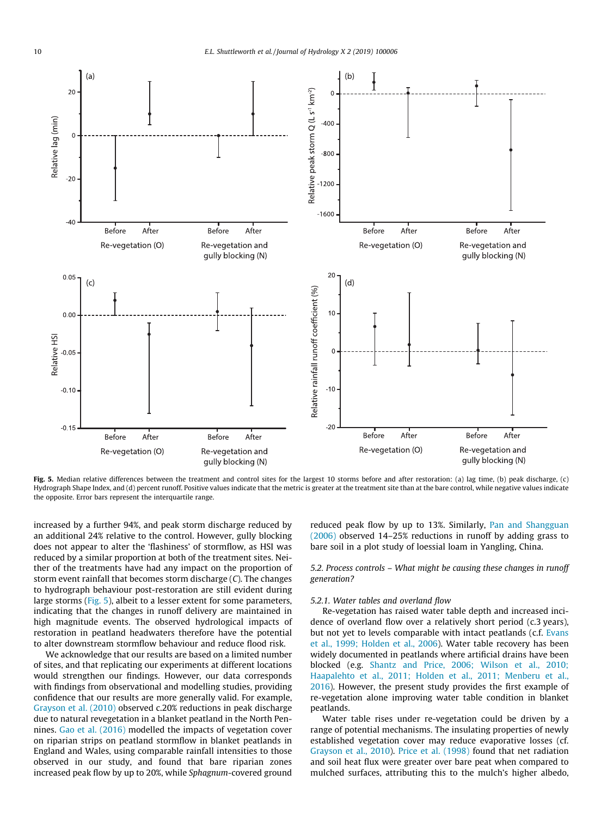<span id="page-9-0"></span>

Fig. 5. Median relative differences between the treatment and control sites for the largest 10 storms before and after restoration: (a) lag time, (b) peak discharge, (c) Hydrograph Shape Index, and (d) percent runoff. Positive values indicate that the metric is greater at the treatment site than at the bare control, while negative values indicate the opposite. Error bars represent the interquartile range.

increased by a further 94%, and peak storm discharge reduced by an additional 24% relative to the control. However, gully blocking does not appear to alter the 'flashiness' of stormflow, as HSI was reduced by a similar proportion at both of the treatment sites. Neither of the treatments have had any impact on the proportion of storm event rainfall that becomes storm discharge (C). The changes to hydrograph behaviour post-restoration are still evident during large storms (Fig. 5), albeit to a lesser extent for some parameters, indicating that the changes in runoff delivery are maintained in high magnitude events. The observed hydrological impacts of restoration in peatland headwaters therefore have the potential to alter downstream stormflow behaviour and reduce flood risk.

We acknowledge that our results are based on a limited number of sites, and that replicating our experiments at different locations would strengthen our findings. However, our data corresponds with findings from observational and modelling studies, providing confidence that our results are more generally valid. For example, [Grayson et al. \(2010\)](#page-12-0) observed c.20% reductions in peak discharge due to natural revegetation in a blanket peatland in the North Pennines. [Gao et al. \(2016\)](#page-12-0) modelled the impacts of vegetation cover on riparian strips on peatland stormflow in blanket peatlands in England and Wales, using comparable rainfall intensities to those observed in our study, and found that bare riparian zones increased peak flow by up to 20%, while Sphagnum-covered ground reduced peak flow by up to 13%. Similarly, [Pan and Shangguan](#page-13-0) [\(2006\)](#page-13-0) observed 14–25% reductions in runoff by adding grass to bare soil in a plot study of loessial loam in Yangling, China.

5.2. Process controls – What might be causing these changes in runoff generation?

## 5.2.1. Water tables and overland flow

Re-vegetation has raised water table depth and increased incidence of overland flow over a relatively short period (c.3 years), but not yet to levels comparable with intact peatlands (c.f. [Evans](#page-12-0) [et al., 1999; Holden et al., 2006](#page-12-0)). Water table recovery has been widely documented in peatlands where artificial drains have been blocked (e.g. [Shantz and Price, 2006; Wilson et al., 2010;](#page-13-0) [Haapalehto et al., 2011; Holden et al., 2011; Menberu et al.,](#page-13-0) [2016\)](#page-13-0). However, the present study provides the first example of re-vegetation alone improving water table condition in blanket peatlands.

Water table rises under re-vegetation could be driven by a range of potential mechanisms. The insulating properties of newly established vegetation cover may reduce evaporative losses (cf. [Grayson et al., 2010\)](#page-12-0). [Price et al. \(1998\)](#page-13-0) found that net radiation and soil heat flux were greater over bare peat when compared to mulched surfaces, attributing this to the mulch's higher albedo,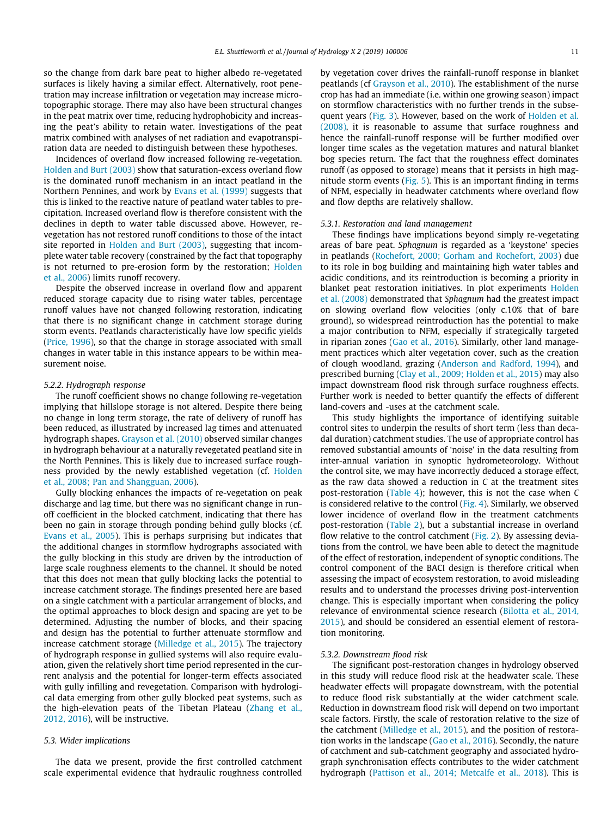so the change from dark bare peat to higher albedo re-vegetated surfaces is likely having a similar effect. Alternatively, root penetration may increase infiltration or vegetation may increase microtopographic storage. There may also have been structural changes in the peat matrix over time, reducing hydrophobicity and increasing the peat's ability to retain water. Investigations of the peat matrix combined with analyses of net radiation and evapotranspiration data are needed to distinguish between these hypotheses.

Incidences of overland flow increased following re-vegetation. [Holden and Burt \(2003\)](#page-12-0) show that saturation-excess overland flow is the dominated runoff mechanism in an intact peatland in the Northern Pennines, and work by [Evans et al. \(1999\)](#page-12-0) suggests that this is linked to the reactive nature of peatland water tables to precipitation. Increased overland flow is therefore consistent with the declines in depth to water table discussed above. However, revegetation has not restored runoff conditions to those of the intact site reported in [Holden and Burt \(2003\),](#page-12-0) suggesting that incomplete water table recovery (constrained by the fact that topography is not returned to pre-erosion form by the restoration; [Holden](#page-12-0) [et al., 2006\)](#page-12-0) limits runoff recovery.

Despite the observed increase in overland flow and apparent reduced storage capacity due to rising water tables, percentage runoff values have not changed following restoration, indicating that there is no significant change in catchment storage during storm events. Peatlands characteristically have low specific yields ([Price, 1996\)](#page-13-0), so that the change in storage associated with small changes in water table in this instance appears to be within measurement noise.

#### 5.2.2. Hydrograph response

The runoff coefficient shows no change following re-vegetation implying that hillslope storage is not altered. Despite there being no change in long term storage, the rate of delivery of runoff has been reduced, as illustrated by increased lag times and attenuated hydrograph shapes. [Grayson et al. \(2010\)](#page-12-0) observed similar changes in hydrograph behaviour at a naturally revegetated peatland site in the North Pennines. This is likely due to increased surface roughness provided by the newly established vegetation (cf. [Holden](#page-12-0) [et al., 2008; Pan and Shangguan, 2006](#page-12-0)).

Gully blocking enhances the impacts of re-vegetation on peak discharge and lag time, but there was no significant change in runoff coefficient in the blocked catchment, indicating that there has been no gain in storage through ponding behind gully blocks (cf. [Evans et al., 2005\)](#page-12-0). This is perhaps surprising but indicates that the additional changes in stormflow hydrographs associated with the gully blocking in this study are driven by the introduction of large scale roughness elements to the channel. It should be noted that this does not mean that gully blocking lacks the potential to increase catchment storage. The findings presented here are based on a single catchment with a particular arrangement of blocks, and the optimal approaches to block design and spacing are yet to be determined. Adjusting the number of blocks, and their spacing and design has the potential to further attenuate stormflow and increase catchment storage [\(Milledge et al., 2015](#page-13-0)). The trajectory of hydrograph response in gullied systems will also require evaluation, given the relatively short time period represented in the current analysis and the potential for longer-term effects associated with gully infilling and revegetation. Comparison with hydrological data emerging from other gully blocked peat systems, such as the high-elevation peats of the Tibetan Plateau ([Zhang et al.,](#page-13-0) [2012, 2016\)](#page-13-0), will be instructive.

## 5.3. Wider implications

The data we present, provide the first controlled catchment scale experimental evidence that hydraulic roughness controlled by vegetation cover drives the rainfall-runoff response in blanket peatlands (cf [Grayson et al., 2010\)](#page-12-0). The establishment of the nurse crop has had an immediate (i.e. within one growing season) impact on stormflow characteristics with no further trends in the subsequent years [\(Fig. 3\)](#page-6-0). However, based on the work of [Holden et al.](#page-12-0) [\(2008\)](#page-12-0), it is reasonable to assume that surface roughness and hence the rainfall-runoff response will be further modified over longer time scales as the vegetation matures and natural blanket bog species return. The fact that the roughness effect dominates runoff (as opposed to storage) means that it persists in high magnitude storm events ([Fig. 5](#page-9-0)). This is an important finding in terms of NFM, especially in headwater catchments where overland flow and flow depths are relatively shallow.

#### 5.3.1. Restoration and land management

These findings have implications beyond simply re-vegetating areas of bare peat. Sphagnum is regarded as a 'keystone' species in peatlands ([Rochefort, 2000; Gorham and Rochefort, 2003](#page-13-0)) due to its role in bog building and maintaining high water tables and acidic conditions, and its reintroduction is becoming a priority in blanket peat restoration initiatives. In plot experiments [Holden](#page-12-0) [et al. \(2008\)](#page-12-0) demonstrated that Sphagnum had the greatest impact on slowing overland flow velocities (only c.10% that of bare ground), so widespread reintroduction has the potential to make a major contribution to NFM, especially if strategically targeted in riparian zones ([Gao et al., 2016](#page-12-0)). Similarly, other land management practices which alter vegetation cover, such as the creation of clough woodland, grazing ([Anderson and Radford, 1994](#page-12-0)), and prescribed burning [\(Clay et al., 2009; Holden et al., 2015\)](#page-12-0) may also impact downstream flood risk through surface roughness effects. Further work is needed to better quantify the effects of different land-covers and -uses at the catchment scale.

This study highlights the importance of identifying suitable control sites to underpin the results of short term (less than decadal duration) catchment studies. The use of appropriate control has removed substantial amounts of 'noise' in the data resulting from inter-annual variation in synoptic hydrometeorology. Without the control site, we may have incorrectly deduced a storage effect, as the raw data showed a reduction in C at the treatment sites post-restoration ([Table 4\)](#page-7-0); however, this is not the case when C is considered relative to the control [\(Fig. 4](#page-7-0)). Similarly, we observed lower incidence of overland flow in the treatment catchments post-restoration ([Table 2](#page-4-0)), but a substantial increase in overland flow relative to the control catchment ([Fig. 2](#page-5-0)). By assessing deviations from the control, we have been able to detect the magnitude of the effect of restoration, independent of synoptic conditions. The control component of the BACI design is therefore critical when assessing the impact of ecosystem restoration, to avoid misleading results and to understand the processes driving post-intervention change. This is especially important when considering the policy relevance of environmental science research [\(Bilotta et al., 2014,](#page-12-0) [2015](#page-12-0)), and should be considered an essential element of restoration monitoring.

#### 5.3.2. Downstream flood risk

The significant post-restoration changes in hydrology observed in this study will reduce flood risk at the headwater scale. These headwater effects will propagate downstream, with the potential to reduce flood risk substantially at the wider catchment scale. Reduction in downstream flood risk will depend on two important scale factors. Firstly, the scale of restoration relative to the size of the catchment [\(Milledge et al., 2015](#page-13-0)), and the position of restoration works in the landscape ([Gao et al., 2016](#page-12-0)). Secondly, the nature of catchment and sub-catchment geography and associated hydrograph synchronisation effects contributes to the wider catchment hydrograph [\(Pattison et al., 2014; Metcalfe et al., 2018](#page-13-0)). This is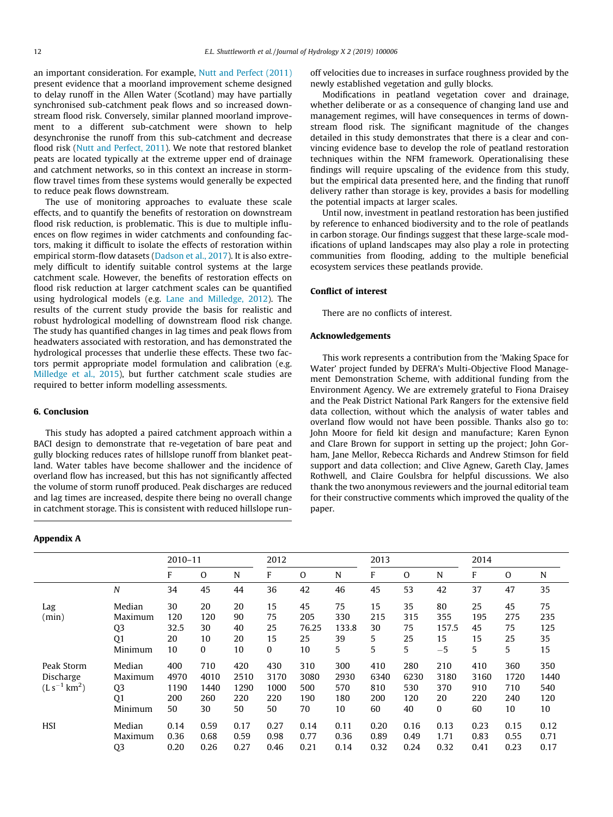<span id="page-11-0"></span>an important consideration. For example, [Nutt and Perfect \(2011\)](#page-13-0) present evidence that a moorland improvement scheme designed to delay runoff in the Allen Water (Scotland) may have partially synchronised sub-catchment peak flows and so increased downstream flood risk. Conversely, similar planned moorland improvement to a different sub-catchment were shown to help desynchronise the runoff from this sub-catchment and decrease flood risk [\(Nutt and Perfect, 2011\)](#page-13-0). We note that restored blanket peats are located typically at the extreme upper end of drainage and catchment networks, so in this context an increase in stormflow travel times from these systems would generally be expected to reduce peak flows downstream.

The use of monitoring approaches to evaluate these scale effects, and to quantify the benefits of restoration on downstream flood risk reduction, is problematic. This is due to multiple influences on flow regimes in wider catchments and confounding factors, making it difficult to isolate the effects of restoration within empirical storm-flow datasets [\(Dadson et al., 2017](#page-12-0)). It is also extremely difficult to identify suitable control systems at the large catchment scale. However, the benefits of restoration effects on flood risk reduction at larger catchment scales can be quantified using hydrological models (e.g. [Lane and Milledge, 2012](#page-13-0)). The results of the current study provide the basis for realistic and robust hydrological modelling of downstream flood risk change. The study has quantified changes in lag times and peak flows from headwaters associated with restoration, and has demonstrated the hydrological processes that underlie these effects. These two factors permit appropriate model formulation and calibration (e.g. [Milledge et al., 2015\)](#page-13-0), but further catchment scale studies are required to better inform modelling assessments.

## 6. Conclusion

This study has adopted a paired catchment approach within a BACI design to demonstrate that re-vegetation of bare peat and gully blocking reduces rates of hillslope runoff from blanket peatland. Water tables have become shallower and the incidence of overland flow has increased, but this has not significantly affected the volume of storm runoff produced. Peak discharges are reduced and lag times are increased, despite there being no overall change in catchment storage. This is consistent with reduced hillslope run-

## Appendix A

off velocities due to increases in surface roughness provided by the newly established vegetation and gully blocks.

Modifications in peatland vegetation cover and drainage, whether deliberate or as a consequence of changing land use and management regimes, will have consequences in terms of downstream flood risk. The significant magnitude of the changes detailed in this study demonstrates that there is a clear and convincing evidence base to develop the role of peatland restoration techniques within the NFM framework. Operationalising these findings will require upscaling of the evidence from this study, but the empirical data presented here, and the finding that runoff delivery rather than storage is key, provides a basis for modelling the potential impacts at larger scales.

Until now, investment in peatland restoration has been justified by reference to enhanced biodiversity and to the role of peatlands in carbon storage. Our findings suggest that these large-scale modifications of upland landscapes may also play a role in protecting communities from flooding, adding to the multiple beneficial ecosystem services these peatlands provide.

## Conflict of interest

There are no conflicts of interest.

## Acknowledgements

This work represents a contribution from the 'Making Space for Water' project funded by DEFRA's Multi-Objective Flood Management Demonstration Scheme, with additional funding from the Environment Agency. We are extremely grateful to Fiona Draisey and the Peak District National Park Rangers for the extensive field data collection, without which the analysis of water tables and overland flow would not have been possible. Thanks also go to: John Moore for field kit design and manufacture; Karen Eynon and Clare Brown for support in setting up the project; John Gorham, Jane Mellor, Rebecca Richards and Andrew Stimson for field support and data collection; and Clive Agnew, Gareth Clay, James Rothwell, and Claire Goulsbra for helpful discussions. We also thank the two anonymous reviewers and the journal editorial team for their constructive comments which improved the quality of the paper.

|                        |                | $2010 - 11$ |              |      | 2012     |          |       | 2013 |      |          | 2014 |          |      |
|------------------------|----------------|-------------|--------------|------|----------|----------|-------|------|------|----------|------|----------|------|
|                        |                | F           | $\mathbf{O}$ | N    | F        | $\Omega$ | N     | F    | O    | N        | F    | $\Omega$ | N    |
|                        | N              | 34          | 45           | 44   | 36       | 42       | 46    | 45   | 53   | 42       | 37   | 47       | 35   |
| Lag                    | Median         | 30          | 20           | 20   | 15       | 45       | 75    | 15   | 35   | 80       | 25   | 45       | 75   |
| (min)                  | Maximum        | 120         | 120          | 90   | 75       | 205      | 330   | 215  | 315  | 355      | 195  | 275      | 235  |
|                        | Q <sub>3</sub> | 32.5        | 30           | 40   | 25       | 76.25    | 133.8 | 30   | 75   | 157.5    | 45   | 75       | 125  |
|                        | Q <sub>1</sub> | 20          | 10           | 20   | 15       | 25       | 39    | 5    | 25   | 15       | 15   | 25       | 35   |
|                        | Minimum        | 10          | $\mathbf{0}$ | 10   | $\Omega$ | 10       | 5     | 5    | 5    | $-5$     | 5    | 5        | 15   |
| Peak Storm             | Median         | 400         | 710          | 420  | 430      | 310      | 300   | 410  | 280  | 210      | 410  | 360      | 350  |
| Discharge              | Maximum        | 4970        | 4010         | 2510 | 3170     | 3080     | 2930  | 6340 | 6230 | 3180     | 3160 | 1720     | 1440 |
| $km2$ )<br>$(Ls^{-1})$ | Q <sub>3</sub> | 1190        | 1440         | 1290 | 1000     | 500      | 570   | 810  | 530  | 370      | 910  | 710      | 540  |
|                        | Q <sub>1</sub> | 200         | 260          | 220  | 220      | 190      | 180   | 200  | 120  | 20       | 220  | 240      | 120  |
|                        | Minimum        | 50          | 30           | 50   | 50       | 70       | 10    | 60   | 40   | $\Omega$ | 60   | 10       | 10   |
| <b>HSI</b>             | Median         | 0.14        | 0.59         | 0.17 | 0.27     | 0.14     | 0.11  | 0.20 | 0.16 | 0.13     | 0.23 | 0.15     | 0.12 |
|                        | Maximum        | 0.36        | 0.68         | 0.59 | 0.98     | 0.77     | 0.36  | 0.89 | 0.49 | 1.71     | 0.83 | 0.55     | 0.71 |
|                        | Q <sub>3</sub> | 0.20        | 0.26         | 0.27 | 0.46     | 0.21     | 0.14  | 0.32 | 0.24 | 0.32     | 0.41 | 0.23     | 0.17 |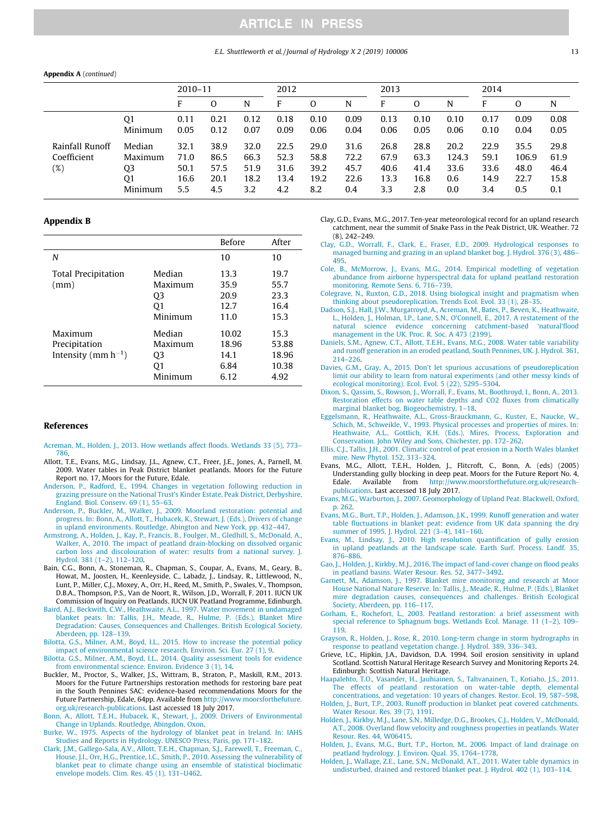## **ARTICLE IN PRESS**

## E.L. Shuttleworth et al. / Journal of Hydrology  $X$  2 (2019) 100006 13

#### <span id="page-12-0"></span>Appendix A (continued)

|                                       |                                          | 2010-11                             |                                     |                                     | 2012                                |                                     | 2013                                |                                     |                                     | 2014                                |                                     |                                      |                                     |
|---------------------------------------|------------------------------------------|-------------------------------------|-------------------------------------|-------------------------------------|-------------------------------------|-------------------------------------|-------------------------------------|-------------------------------------|-------------------------------------|-------------------------------------|-------------------------------------|--------------------------------------|-------------------------------------|
|                                       |                                          | F                                   | $\Omega$                            | N                                   | Е                                   | O                                   | N                                   | F                                   | 0                                   | N                                   | F                                   | 0                                    | N                                   |
|                                       | Q <sub>1</sub><br>Minimum                | 0.11<br>0.05                        | 0.21<br>0.12                        | 0.12<br>0.07                        | 0.18<br>0.09                        | 0.10<br>0.06                        | 0.09<br>0.04                        | 0.13<br>0.06                        | 0.10<br>0.05                        | 0.10<br>0.06                        | 0.17<br>0.10                        | 0.09<br>0.04                         | 0.08<br>0.05                        |
| Rainfall Runoff<br>Coefficient<br>(%) | Median<br>Maximum<br>Q3<br>Q1<br>Minimum | 32.1<br>71.0<br>50.1<br>16.6<br>5.5 | 38.9<br>86.5<br>57.5<br>20.1<br>4.5 | 32.0<br>66.3<br>51.9<br>18.2<br>3.2 | 22.5<br>52.3<br>31.6<br>13.4<br>4.2 | 29.0<br>58.8<br>39.2<br>19.2<br>8.2 | 31.6<br>72.2<br>45.7<br>22.6<br>0.4 | 26.8<br>67.9<br>40.6<br>13.3<br>3.3 | 28.8<br>63.3<br>41.4<br>16.8<br>2.8 | 20.2<br>124.3<br>33.6<br>0.6<br>0.0 | 22.9<br>59.1<br>33.6<br>14.9<br>3.4 | 35.5<br>106.9<br>48.0<br>22.7<br>0.5 | 29.8<br>61.9<br>46.4<br>15.8<br>0.1 |

## Appendix B

|                                                      |                                          | <b>Before</b>                          | After                                   |
|------------------------------------------------------|------------------------------------------|----------------------------------------|-----------------------------------------|
| N                                                    |                                          | 10                                     | 10                                      |
| <b>Total Precipitation</b><br>(mm)                   | Median<br>Maximum<br>Q3<br>O1<br>Minimum | 13.3<br>35.9<br>20.9<br>12.7<br>11.0   | 19.7<br>55.7<br>23.3<br>16.4<br>15.3    |
| Maximum<br>Precipitation<br>Intensity (mm $h^{-1}$ ) | Median<br>Maximum<br>O3<br>01<br>Minimum | 10.02<br>18.96<br>14.1<br>6.84<br>6.12 | 15.3<br>53.88<br>18.96<br>10.38<br>4.92 |

#### References

- [Acreman, M., Holden, J., 2013. How wetlands affect floods. Wetlands 33 \(5\), 773–](http://refhub.elsevier.com/S2589-9155(18)30006-3/h0005) [786.](http://refhub.elsevier.com/S2589-9155(18)30006-3/h0005)
- Allott, T.E., Evans, M.G., Lindsay, J.L., Agnew, C.T., Freer, J.E., Jones, A., Parnell, M. 2009. Water tables in Peak District blanket peatlands. Moors for the Future Report no. 17, Moors for the Future, Edale.
- [Anderson, P., Radford, E., 1994. Changes in vegetation following reduction in](http://refhub.elsevier.com/S2589-9155(18)30006-3/h0015) [grazing pressure on the National Trust's Kinder Estate, Peak District, Derbyshire,](http://refhub.elsevier.com/S2589-9155(18)30006-3/h0015) [England. Biol. Conserv. 69 \(1\), 55–63.](http://refhub.elsevier.com/S2589-9155(18)30006-3/h0015)
- [Anderson, P., Buckler, M., Walker, J., 2009. Moorland restoration: potential and](http://refhub.elsevier.com/S2589-9155(18)30006-3/h0020) [progress. In: Bonn, A., Allott, T., Hubacek, K., Stewart, J. \(Eds.\), Drivers of change](http://refhub.elsevier.com/S2589-9155(18)30006-3/h0020) [in upland environments. Routledge, Abington and New York, pp. 432–447](http://refhub.elsevier.com/S2589-9155(18)30006-3/h0020).
- [Armstrong, A., Holden, J., Kay, P., Francis, B., Foulger, M., Gledhill, S., McDonald, A.,](http://refhub.elsevier.com/S2589-9155(18)30006-3/h0025) [Walker, A., 2010. The impact of peatland drain-blocking on dissolved organic](http://refhub.elsevier.com/S2589-9155(18)30006-3/h0025) [carbon loss and discolouration of water: results from a national survey. J.](http://refhub.elsevier.com/S2589-9155(18)30006-3/h0025) [Hydrol. 381 \(1–2\), 112–120](http://refhub.elsevier.com/S2589-9155(18)30006-3/h0025).
- Bain, C.G., Bonn, A., Stoneman, R., Chapman, S., Coupar, A., Evans, M., Geary, B., Howat, M., Joosten, H., Keenleyside, C., Labadz, J., Lindsay, R., Littlewood, N., Lunt, P., Miller, C.J., Moxey, A., Orr, H., Reed, M., Smith, P., Swales, V., Thompson, D.B.A., Thompson, P.S., Van de Noort, R., Wilson, J.D., Worrall, F. 2011. IUCN UK Commission of Inquiry on Peatlands. IUCN UK Peatland Programme, Edinburgh.
- [Baird, A.J., Beckwith, C.W., Heathwaite, A.L., 1997. Water movement in undamaged](http://refhub.elsevier.com/S2589-9155(18)30006-3/h0035) [blanket peats. In: Tallis, J.H., Meade, R., Hulme, P. \(Eds.\), Blanket Mire](http://refhub.elsevier.com/S2589-9155(18)30006-3/h0035) [Degradation: Causes, Consequences and Challenges. British Ecological Society,](http://refhub.elsevier.com/S2589-9155(18)30006-3/h0035) [Aberdeen, pp. 128–139](http://refhub.elsevier.com/S2589-9155(18)30006-3/h0035).
- [Bilotta, G.S., Milner, A.M., Boyd, I.L., 2015. How to increase the potential policy](http://refhub.elsevier.com/S2589-9155(18)30006-3/h0040) [impact of environmental science research. Environ. Sci. Eur. 27 \(1\), 9.](http://refhub.elsevier.com/S2589-9155(18)30006-3/h0040)
- [Bilotta, G.S., Milner, A.M., Boyd, I.L., 2014. Quality assessment tools for evidence](http://refhub.elsevier.com/S2589-9155(18)30006-3/h0045) [from environmental science. Environ. Evidence 3 \(1\), 14.](http://refhub.elsevier.com/S2589-9155(18)30006-3/h0045)
- Buckler, M., Proctor, S., Walker, J.S., Wittram, B., Straton, P., Maskill, R.M., 2013. Moors for the Future Partnerships restoration methods for restoring bare peat in the South Pennines SAC: evidence-based recommendations Moors for the Future Partnership, Edale, 64pp. Available from [http://www.moorsforthefuture.](http://www.moorsforthefuture.org.uk/research-publications) [org.uk/research-publications](http://www.moorsforthefuture.org.uk/research-publications). Last accessed 18 July 2017.
- [Bonn, A., Allott, T.E.H., Hubacek, K., Stewart, J., 2009. Drivers of Environmental](http://refhub.elsevier.com/S2589-9155(18)30006-3/h0055) [Change in Uplands. Routledge, Abingdon, Oxon.](http://refhub.elsevier.com/S2589-9155(18)30006-3/h0055)
- [Burke, W., 1975. Aspects of the hydrology of blanket peat in Ireland. In: IAHS](http://refhub.elsevier.com/S2589-9155(18)30006-3/h0060) [Studies and Reports in Hydrology. UNESCO Press, Paris, pp. 171–182.](http://refhub.elsevier.com/S2589-9155(18)30006-3/h0060)
- [Clark, J.M., Gallego-Sala, A.V., Allott, T.E.H., Chapman, S.J., Farewell, T., Freeman, C.,](http://refhub.elsevier.com/S2589-9155(18)30006-3/h0065) [House, J.I., Orr, H.G., Prentice, I.C., Smith, P., 2010. Assessing the vulnerability of](http://refhub.elsevier.com/S2589-9155(18)30006-3/h0065) [blanket peat to climate change using an ensemble of statistical bioclimatic](http://refhub.elsevier.com/S2589-9155(18)30006-3/h0065) [envelope models. Clim. Res. 45 \(1\), 131–U462.](http://refhub.elsevier.com/S2589-9155(18)30006-3/h0065)
- Clay, G.D., Evans, M.G., 2017. Ten-year meteorological record for an upland research catchment, near the summit of Snake Pass in the Peak District, UK. Weather. 72 (8), 242–249.
- [Clay, G.D., Worrall, F., Clark, E., Fraser, E.D., 2009. Hydrological responses to](http://refhub.elsevier.com/S2589-9155(18)30006-3/h0075) [managed burning and grazing in an upland blanket bog. J. Hydrol. 376 \(3\), 486–](http://refhub.elsevier.com/S2589-9155(18)30006-3/h0075) [495.](http://refhub.elsevier.com/S2589-9155(18)30006-3/h0075)
- [Cole, B., McMorrow, J., Evans, M.G., 2014. Empirical modelling of vegetation](http://refhub.elsevier.com/S2589-9155(18)30006-3/h0080) [abundance from airborne hyperspectral data for upland peatland restoration](http://refhub.elsevier.com/S2589-9155(18)30006-3/h0080) [monitoring. Remote Sens. 6, 716–739.](http://refhub.elsevier.com/S2589-9155(18)30006-3/h0080)
- [Colegrave, N., Ruxton, G.D., 2018. Using biological insight and pragmatism when](http://refhub.elsevier.com/S2589-9155(18)30006-3/h0085) [thinking about pseudoreplication. Trends Ecol. Evol. 33 \(1\), 28–35.](http://refhub.elsevier.com/S2589-9155(18)30006-3/h0085)
- [Dadson, S.J., Hall, J.W., Murgatroyd, A., Acreman, M., Bates, P., Beven, K., Heathwaite,](http://refhub.elsevier.com/S2589-9155(18)30006-3/h0090) [L., Holden, J., Holman, I.P., Lane, S.N., O'Connell, E., 2017. A restatement of the](http://refhub.elsevier.com/S2589-9155(18)30006-3/h0090) [natural science evidence concerning catchment-based 'natural'flood](http://refhub.elsevier.com/S2589-9155(18)30006-3/h0090) [management in the UK. Proc. R. Soc. A 473 \(2199\).](http://refhub.elsevier.com/S2589-9155(18)30006-3/h0090)
- [Daniels, S.M., Agnew, C.T., Allott, T.E.H., Evans, M.G., 2008. Water table variability](http://refhub.elsevier.com/S2589-9155(18)30006-3/h0095) [and runoff generation in an eroded peatland, South Pennines, UK. J. Hydrol. 361,](http://refhub.elsevier.com/S2589-9155(18)30006-3/h0095) [214–226](http://refhub.elsevier.com/S2589-9155(18)30006-3/h0095).
- [Davies, G.M., Gray, A., 2015. Don't let spurious accusations of pseudoreplication](http://refhub.elsevier.com/S2589-9155(18)30006-3/h0100) [limit our ability to learn from natural experiments \(and other messy kinds of](http://refhub.elsevier.com/S2589-9155(18)30006-3/h0100) [ecological monitoring\). Ecol. Evol. 5 \(22\), 5295–5304.](http://refhub.elsevier.com/S2589-9155(18)30006-3/h0100)
- [Dixon, S., Qassim, S., Rowson, J., Worrall, F., Evans, M., Boothroyd, I., Bonn, A., 2013.](http://refhub.elsevier.com/S2589-9155(18)30006-3/h0105) [Restoration effects on water table depths and CO2 fluxes from climatically](http://refhub.elsevier.com/S2589-9155(18)30006-3/h0105) [marginal blanket bog. Biogeochemistry, 1–18](http://refhub.elsevier.com/S2589-9155(18)30006-3/h0105).
- [Eggelsmann, R., Heathwaite, A.L., Gross-Brauckmann, G., Kuster, E., Naucke, W.,](http://refhub.elsevier.com/S2589-9155(18)30006-3/h0110) [Schich, M., Schweikle, V., 1993. Physical processes and properties of mires. In:](http://refhub.elsevier.com/S2589-9155(18)30006-3/h0110) [Heathwaite, A.L., Gottlich, K.H. \(Eds.\), Mires, Process, Exploration and](http://refhub.elsevier.com/S2589-9155(18)30006-3/h0110) [Conservation. John Wiley and Sons, Chichester, pp. 172–262](http://refhub.elsevier.com/S2589-9155(18)30006-3/h0110).
- [Ellis, C.J., Tallis, J.H., 2001. Climatic control of peat erosion in a North Wales blanket](http://refhub.elsevier.com/S2589-9155(18)30006-3/h0115) [mire. New Phytol. 152, 313–324](http://refhub.elsevier.com/S2589-9155(18)30006-3/h0115).
- Evans, M.G., Allott, T.E.H., Holden, J., Flitcroft, C., Bonn, A. (eds) (2005) Understanding gully blocking in deep peat. Moors for the Future Report No. 4, Edale. Available from [http://www.moorsforthefuture.org.uk/research](http://www.moorsforthefuture.org.uk/research-publications)[publications.](http://www.moorsforthefuture.org.uk/research-publications) Last accessed 18 July 2017.
- [Evans, M.G., Warburton, J., 2007. Geomorphology of Upland Peat. Blackwell, Oxford,](http://refhub.elsevier.com/S2589-9155(18)30006-3/h0125) [p. 262](http://refhub.elsevier.com/S2589-9155(18)30006-3/h0125).
- [Evans, M.G., Burt, T.P., Holden, J., Adamson, J.K., 1999. Runoff generation and water](http://refhub.elsevier.com/S2589-9155(18)30006-3/h0130) [table fluctuations in blanket peat: evidence from UK data spanning the dry](http://refhub.elsevier.com/S2589-9155(18)30006-3/h0130) [summer of 1995. J. Hydrol. 221 \(3–4\), 141–160.](http://refhub.elsevier.com/S2589-9155(18)30006-3/h0130)
- [Evans, M., Lindsay, J., 2010. High resolution quantification of gully erosion](http://refhub.elsevier.com/S2589-9155(18)30006-3/h0135) [in upland peatlands at the landscape scale. Earth Surf. Process. Landf. 35,](http://refhub.elsevier.com/S2589-9155(18)30006-3/h0135) [876–886](http://refhub.elsevier.com/S2589-9155(18)30006-3/h0135).
- [Gao, J., Holden, J., Kirkby, M.J., 2016. The impact of land-cover change on flood peaks](http://refhub.elsevier.com/S2589-9155(18)30006-3/h0140) [in peatland basins. Water Resour. Res. 52, 3477–3492.](http://refhub.elsevier.com/S2589-9155(18)30006-3/h0140)
- [Garnett, M., Adamson, J., 1997. Blanket mire monitoring and research at Moor](http://refhub.elsevier.com/S2589-9155(18)30006-3/h0145) [House National Nature Reserve. In: Tallis, J., Meade, R., Hulme, P. \(Eds.\), Blanket](http://refhub.elsevier.com/S2589-9155(18)30006-3/h0145) [mire degradation causes, consequences and challenges. British Ecological](http://refhub.elsevier.com/S2589-9155(18)30006-3/h0145)
- [Society, Aberdeen, pp. 116–117](http://refhub.elsevier.com/S2589-9155(18)30006-3/h0145). [Gorham, E., Rochefort, L., 2003. Peatland restoration: a brief assessment with](http://refhub.elsevier.com/S2589-9155(18)30006-3/h0150) [special reference to Sphagnum bogs. Wetlands Ecol. Manage. 11 \(1–2\), 109–](http://refhub.elsevier.com/S2589-9155(18)30006-3/h0150) [119.](http://refhub.elsevier.com/S2589-9155(18)30006-3/h0150)
- [Grayson, R., Holden, J., Rose, R., 2010. Long-term change in storm hydrographs in](http://refhub.elsevier.com/S2589-9155(18)30006-3/h0155) [response to peatland vegetation change. J. Hydrol. 389, 336–343](http://refhub.elsevier.com/S2589-9155(18)30006-3/h0155).
- Grieve, I.C., Hipkin, J.A., Davidson, D.A. 1994. Soil erosion sensitivity in upland Scotland. Scottish Natural Heritage Research Survey and Monitoring Reports 24. Edinburgh: Scottish Natural Heritage.
- [Haapalehto, T.O., Vasander, H., Jauhiainen, S., Tahvanainen, T., Kotiaho, J.S., 2011.](http://refhub.elsevier.com/S2589-9155(18)30006-3/h0165) [The effects of peatland restoration on water-table depth, elemental](http://refhub.elsevier.com/S2589-9155(18)30006-3/h0165) [concentrations, and vegetation: 10 years of changes. Restor. Ecol. 19, 587–598.](http://refhub.elsevier.com/S2589-9155(18)30006-3/h0165)
- [Holden, J., Burt, T.P., 2003. Runoff production in blanket peat covered catchments.](http://refhub.elsevier.com/S2589-9155(18)30006-3/h0175) [Water Resour. Res. 39 \(7\), 1191](http://refhub.elsevier.com/S2589-9155(18)30006-3/h0175).
- [Holden, J., Kirkby, M.J., Lane, S.N., Milledge, D.G., Brookes, C.J., Holden, V., McDonald,](http://refhub.elsevier.com/S2589-9155(18)30006-3/h0180) [A.T., 2008. Overland flow velocity and roughness properties in peatlands. Water](http://refhub.elsevier.com/S2589-9155(18)30006-3/h0180) [Resour. Res. 44, W06415.](http://refhub.elsevier.com/S2589-9155(18)30006-3/h0180)
- [Holden, J., Evans, M.G., Burt, T.P., Horton, M., 2006. Impact of land drainage on](http://refhub.elsevier.com/S2589-9155(18)30006-3/h0185) [peatland hydrology. J. Environ. Qual. 35, 1764–1778.](http://refhub.elsevier.com/S2589-9155(18)30006-3/h0185)
- [Holden, J., Wallage, Z.E., Lane, S.N., McDonald, A.T., 2011. Water table dynamics in](http://refhub.elsevier.com/S2589-9155(18)30006-3/h0190) [undisturbed, drained and restored blanket peat. J. Hydrol. 402 \(1\), 103–114](http://refhub.elsevier.com/S2589-9155(18)30006-3/h0190).